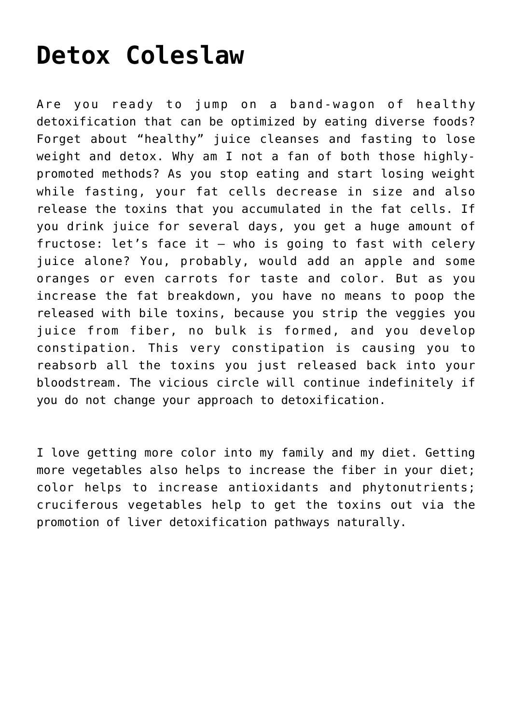## **[Detox Coleslaw](https://sproutshealth.com/detox-coleslaw/)**

Are you ready to jump on a band-wagon of healthy detoxification that can be optimized by eating diverse foods? Forget about "healthy" juice cleanses and fasting to lose weight and detox. Why am I not a fan of both those highlypromoted methods? As you stop eating and start losing weight while fasting, your fat cells decrease in size and also release the toxins that you accumulated in the fat cells. If you drink juice for several days, you get a huge amount of fructose: let's face it – who is going to fast with celery juice alone? You, probably, would add an apple and some oranges or even carrots for taste and color. But as you increase the fat breakdown, you have no means to poop the released with bile toxins, because you strip the veggies you juice from fiber, no bulk is formed, and you develop constipation. This very constipation is causing you to reabsorb all the toxins you just released back into your bloodstream. The vicious circle will continue indefinitely if you do not change your approach to detoxification.

I love getting more color into my family and my diet. Getting more vegetables also helps to increase the fiber in your diet; color helps to increase antioxidants and phytonutrients; cruciferous vegetables help to get the toxins out via the promotion of liver detoxification pathways naturally.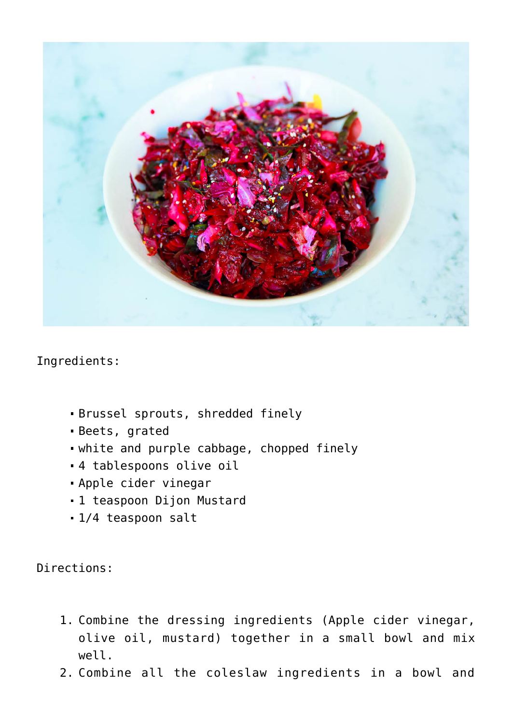

Ingredients:

- Brussel sprouts, shredded finely
- Beets, grated
- white and purple cabbage, chopped finely
- 4 tablespoons olive oil
- Apple cider vinegar
- 1 teaspoon Dijon Mustard
- 1/4 teaspoon salt

Directions:

- 1. Combine the dressing ingredients (Apple cider vinegar, olive oil, mustard) together in a small bowl and mix well.
- 2. Combine all the coleslaw ingredients in a bowl and